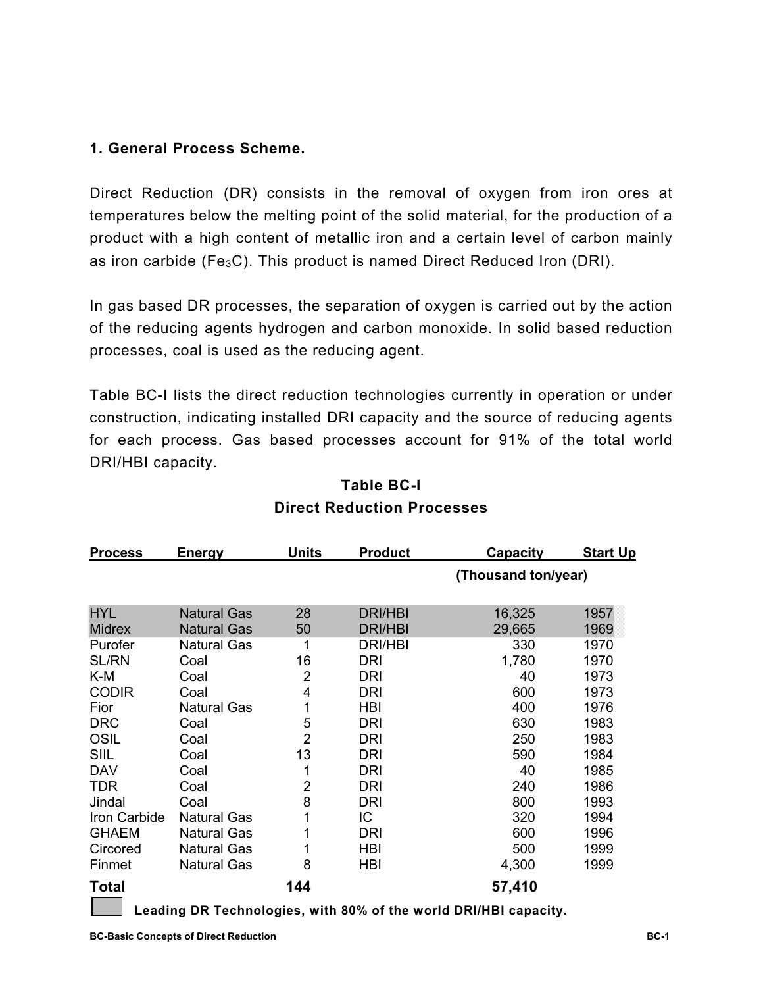### **1. General Process Scheme.**

Direct Reduction (DR) consists in the removal of oxygen from iron ores at temperatures below the melting point of the solid material, for the production of a product with a high content of metallic iron and a certain level of carbon mainly as iron carbide (Fe<sub>3</sub>C). This product is named Direct Reduced Iron (DRI).

In gas based DR processes, the separation of oxygen is carried out by the action of the reducing agents hydrogen and carbon monoxide. In solid based reduction processes, coal is used as the reducing agent.

Table BC-I lists the direct reduction technologies currently in operation or under construction, indicating installed DRI capacity and the source of reducing agents for each process. Gas based processes account for 91% of the total world DRI/HBI capacity.

| <b>Process</b> | <b>Energy</b>      | <b>Units</b><br><b>Product</b> |                | <b>Capacity</b>                                                 | <b>Start Up</b> |  |
|----------------|--------------------|--------------------------------|----------------|-----------------------------------------------------------------|-----------------|--|
|                |                    |                                |                | (Thousand ton/year)                                             |                 |  |
| <b>HYL</b>     | <b>Natural Gas</b> | 28                             | <b>DRI/HBI</b> | 16,325                                                          | 1957            |  |
| <b>Midrex</b>  | <b>Natural Gas</b> | 50                             | <b>DRI/HBI</b> | 29,665                                                          | 1969            |  |
| Purofer        | <b>Natural Gas</b> | 1                              | DRI/HBI        | 330                                                             | 1970            |  |
| <b>SL/RN</b>   | Coal               | 16                             | DRI            | 1,780                                                           | 1970            |  |
| K-M            | Coal               | 2                              | <b>DRI</b>     | 40                                                              | 1973            |  |
| <b>CODIR</b>   | Coal               | 4                              | DRI            | 600                                                             | 1973            |  |
| Fior           | <b>Natural Gas</b> | 1                              | <b>HBI</b>     | 400                                                             | 1976            |  |
| <b>DRC</b>     | Coal               | 5                              | <b>DRI</b>     | 630                                                             | 1983            |  |
| <b>OSIL</b>    | Coal               | $\overline{2}$                 | <b>DRI</b>     | 250                                                             | 1983            |  |
| <b>SIIL</b>    | Coal               | 13                             | <b>DRI</b>     | 590                                                             | 1984            |  |
| <b>DAV</b>     | Coal               | 1                              | DRI            | 40                                                              | 1985            |  |
| <b>TDR</b>     | Coal               | $\overline{2}$                 | <b>DRI</b>     | 240                                                             | 1986            |  |
| Jindal         | Coal               | 8                              | <b>DRI</b>     | 800                                                             | 1993            |  |
| Iron Carbide   | <b>Natural Gas</b> | 1                              | IC             | 320                                                             | 1994            |  |
| <b>GHAEM</b>   | <b>Natural Gas</b> | 1                              | <b>DRI</b>     | 600                                                             | 1996            |  |
| Circored       | <b>Natural Gas</b> | 1                              | <b>HBI</b>     | 500                                                             | 1999            |  |
| Finmet         | <b>Natural Gas</b> | 8                              | <b>HBI</b>     | 4,300                                                           | 1999            |  |
| <b>Total</b>   |                    | 144                            |                | 57,410                                                          |                 |  |
|                |                    |                                |                | Loading DP Tochnologies, with 20% of the world DPI/HPL canacity |                 |  |

# **Table BC-I Direct Reduction Processes**

**Leading DR Technologies, with 80% of the world DRI/HBI capacity.**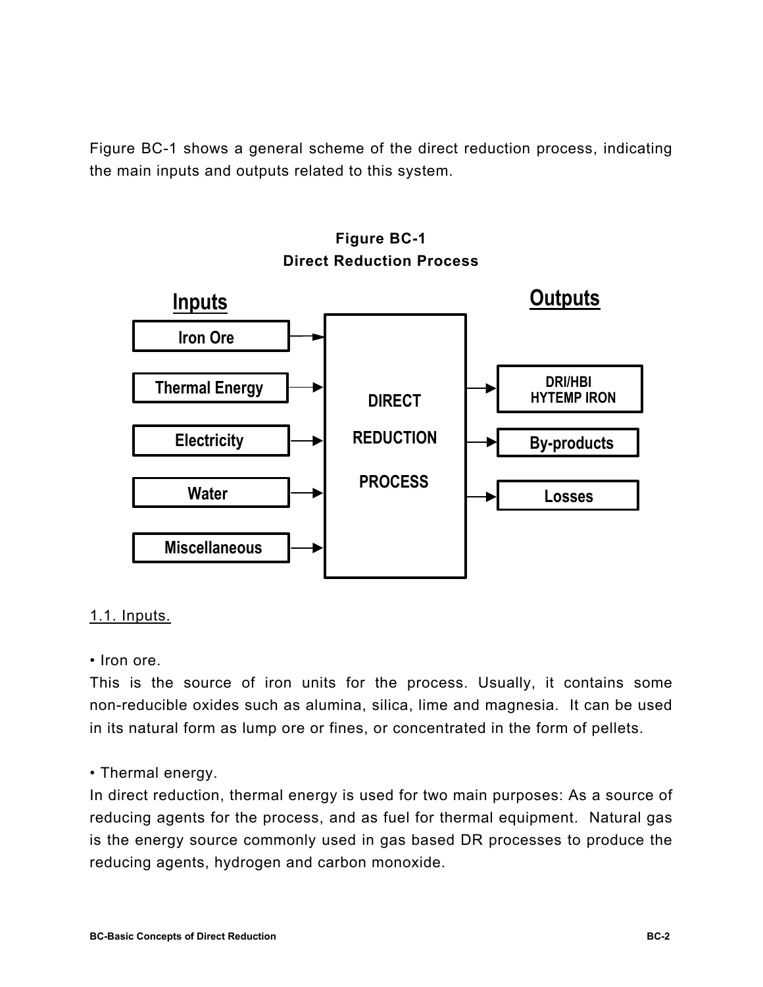Figure BC-1 shows a general scheme of the direct reduction process, indicating the main inputs and outputs related to this system.



# **Figure BC-1 Direct Reduction Process**

### 1.1. Inputs.

• Iron ore.

This is the source of iron units for the process. Usually, it contains some non-reducible oxides such as alumina, silica, lime and magnesia. It can be used in its natural form as lump ore or fines, or concentrated in the form of pellets.

### • Thermal energy.

In direct reduction, thermal energy is used for two main purposes: As a source of reducing agents for the process, and as fuel for thermal equipment. Natural gas is the energy source commonly used in gas based DR processes to produce the reducing agents, hydrogen and carbon monoxide.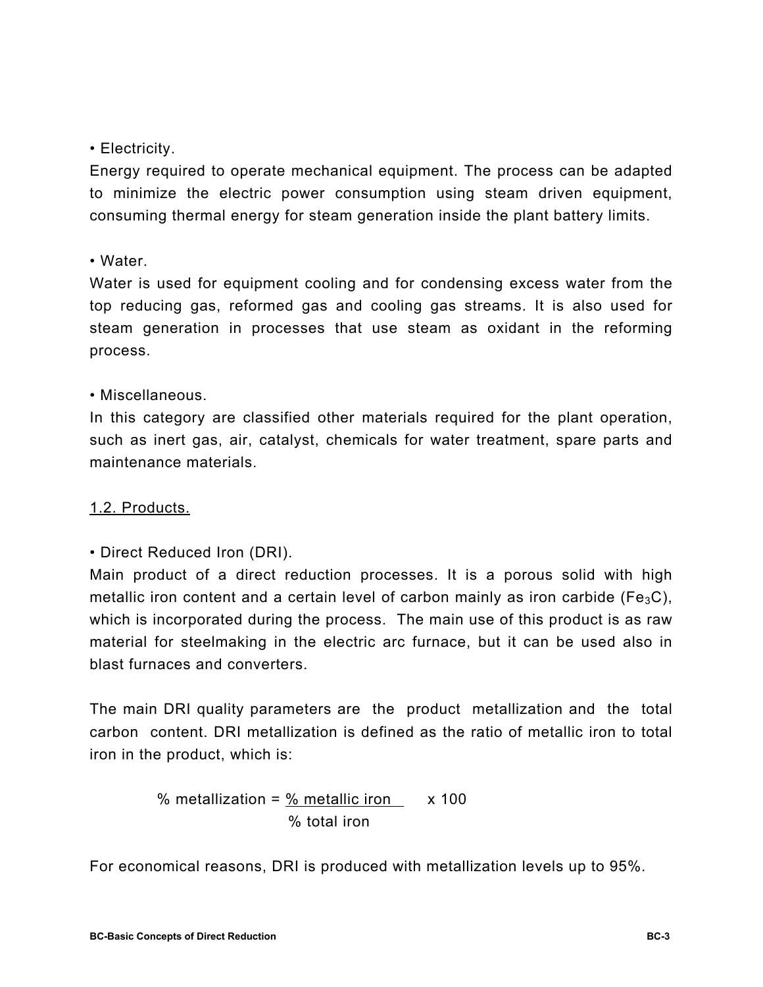### • Electricity.

Energy required to operate mechanical equipment. The process can be adapted to minimize the electric power consumption using steam driven equipment, consuming thermal energy for steam generation inside the plant battery limits.

### • Water.

Water is used for equipment cooling and for condensing excess water from the top reducing gas, reformed gas and cooling gas streams. It is also used for steam generation in processes that use steam as oxidant in the reforming process.

### • Miscellaneous.

In this category are classified other materials required for the plant operation, such as inert gas, air, catalyst, chemicals for water treatment, spare parts and maintenance materials.

### 1.2. Products.

• Direct Reduced Iron (DRI).

Main product of a direct reduction processes. It is a porous solid with high metallic iron content and a certain level of carbon mainly as iron carbide (Fe<sub>3</sub>C), which is incorporated during the process. The main use of this product is as raw material for steelmaking in the electric arc furnace, but it can be used also in blast furnaces and converters.

The main DRI quality parameters are the product metallization and the total carbon content. DRI metallization is defined as the ratio of metallic iron to total iron in the product, which is:

% metalization = 
$$
\frac{\% \text{ metallic iron}}{\% \text{ total iron}}
$$
 x 100

For economical reasons, DRI is produced with metallization levels up to 95%.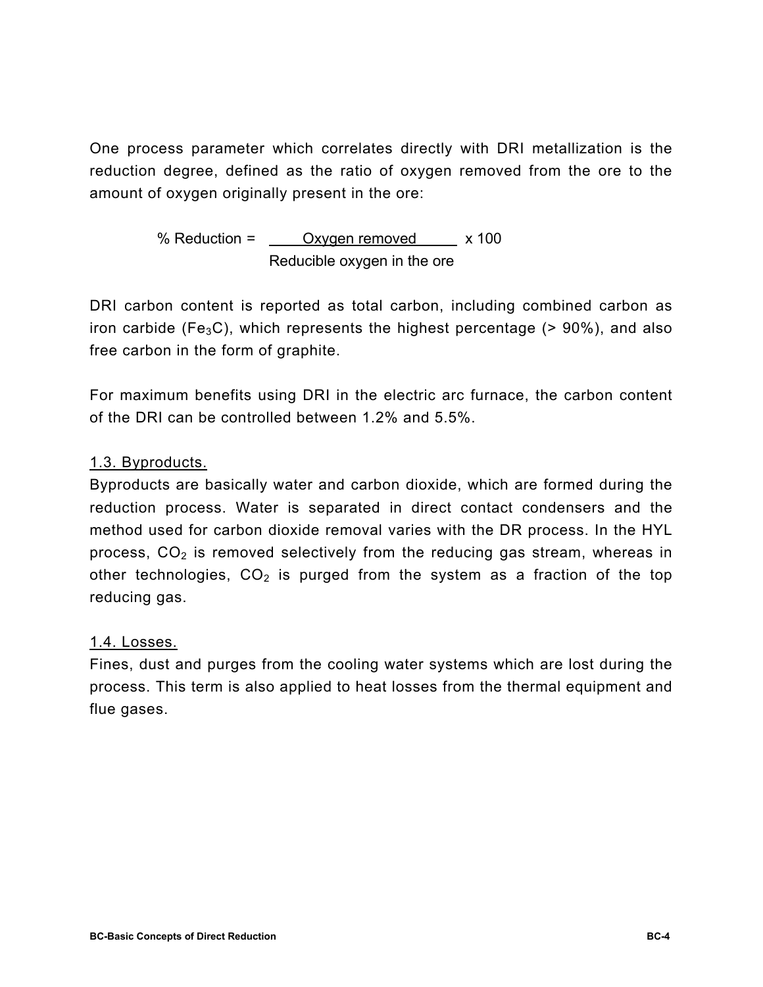One process parameter which correlates directly with DRI metallization is the reduction degree, defined as the ratio of oxygen removed from the ore to the amount of oxygen originally present in the ore:

> % Reduction =  $Qxyaen$  removed  $x 100$ Reducible oxygen in the ore

DRI carbon content is reported as total carbon, including combined carbon as iron carbide (Fe<sub>3</sub>C), which represents the highest percentage ( $> 90\%$ ), and also free carbon in the form of graphite.

For maximum benefits using DRI in the electric arc furnace, the carbon content of the DRI can be controlled between 1.2% and 5.5%.

## 1.3. Byproducts.

Byproducts are basically water and carbon dioxide, which are formed during the reduction process. Water is separated in direct contact condensers and the method used for carbon dioxide removal varies with the DR process. In the HYL process,  $CO<sub>2</sub>$  is removed selectively from the reducing gas stream, whereas in other technologies,  $CO<sub>2</sub>$  is purged from the system as a fraction of the top reducing gas.

### 1.4. Losses.

Fines, dust and purges from the cooling water systems which are lost during the process. This term is also applied to heat losses from the thermal equipment and flue gases.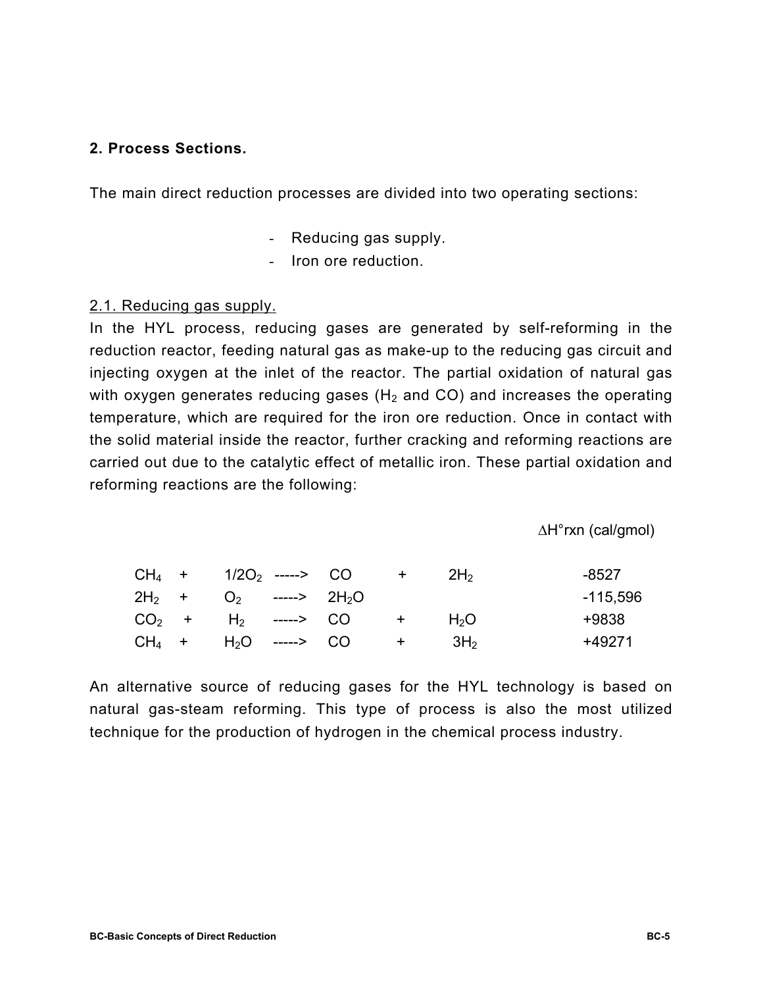### **2. Process Sections.**

The main direct reduction processes are divided into two operating sections:

- Reducing gas supply.
- Iron ore reduction.

#### 2.1. Reducing gas supply.

In the HYL process, reducing gases are generated by self-reforming in the reduction reactor, feeding natural gas as make-up to the reducing gas circuit and injecting oxygen at the inlet of the reactor. The partial oxidation of natural gas with oxygen generates reducing gases ( $H_2$  and CO) and increases the operating temperature, which are required for the iron ore reduction. Once in contact with the solid material inside the reactor, further cracking and reforming reactions are carried out due to the catalytic effect of metallic iron. These partial oxidation and reforming reactions are the following:

∆H°rxn (cal/gmol)

|  |  | $CH_4$ + $1/2O_2$ -----> CO            | $+$ $+$ $-$         | 2H <sub>2</sub> | -8527    |
|--|--|----------------------------------------|---------------------|-----------------|----------|
|  |  | $2H_2$ + 0 <sub>2</sub> -----> $2H_2O$ |                     |                 | -115,596 |
|  |  | $CO2$ + H <sub>2</sub> -----> CO       | $+$ $+$             | $H_2O$          | +9838    |
|  |  | $CH_4$ + $H_2O$ -----> CO              | $+$ 3H <sub>2</sub> |                 | +49271   |

An alternative source of reducing gases for the HYL technology is based on natural gas-steam reforming. This type of process is also the most utilized technique for the production of hydrogen in the chemical process industry.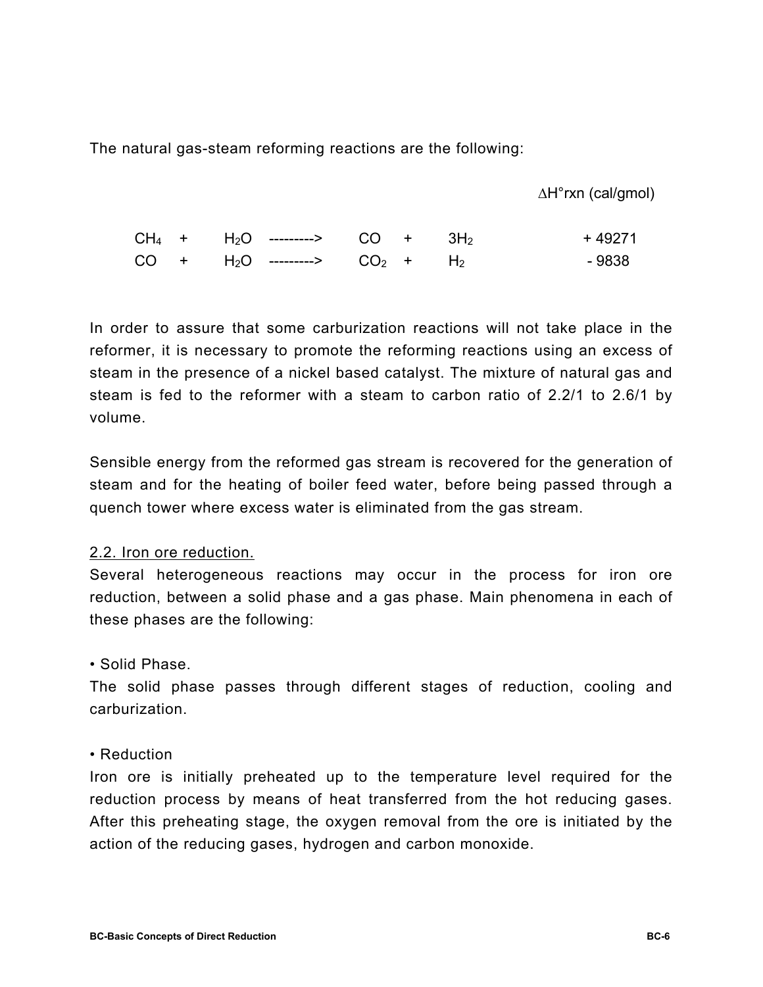The natural gas-steam reforming reactions are the following:

∆H°rxn (cal/gmol)

|  | $CH_4$ + H <sub>2</sub> O ---------> CO + 3H <sub>2</sub> |  | + 49271 |
|--|-----------------------------------------------------------|--|---------|
|  | $CO + H_2O$ ---------> $CO_2 + H_2$                       |  | - 9838  |

In order to assure that some carburization reactions will not take place in the reformer, it is necessary to promote the reforming reactions using an excess of steam in the presence of a nickel based catalyst. The mixture of natural gas and steam is fed to the reformer with a steam to carbon ratio of 2.2/1 to 2.6/1 by volume.

Sensible energy from the reformed gas stream is recovered for the generation of steam and for the heating of boiler feed water, before being passed through a quench tower where excess water is eliminated from the gas stream.

#### 2.2. Iron ore reduction.

Several heterogeneous reactions may occur in the process for iron ore reduction, between a solid phase and a gas phase. Main phenomena in each of these phases are the following:

#### • Solid Phase.

The solid phase passes through different stages of reduction, cooling and carburization.

#### • Reduction

Iron ore is initially preheated up to the temperature level required for the reduction process by means of heat transferred from the hot reducing gases. After this preheating stage, the oxygen removal from the ore is initiated by the action of the reducing gases, hydrogen and carbon monoxide.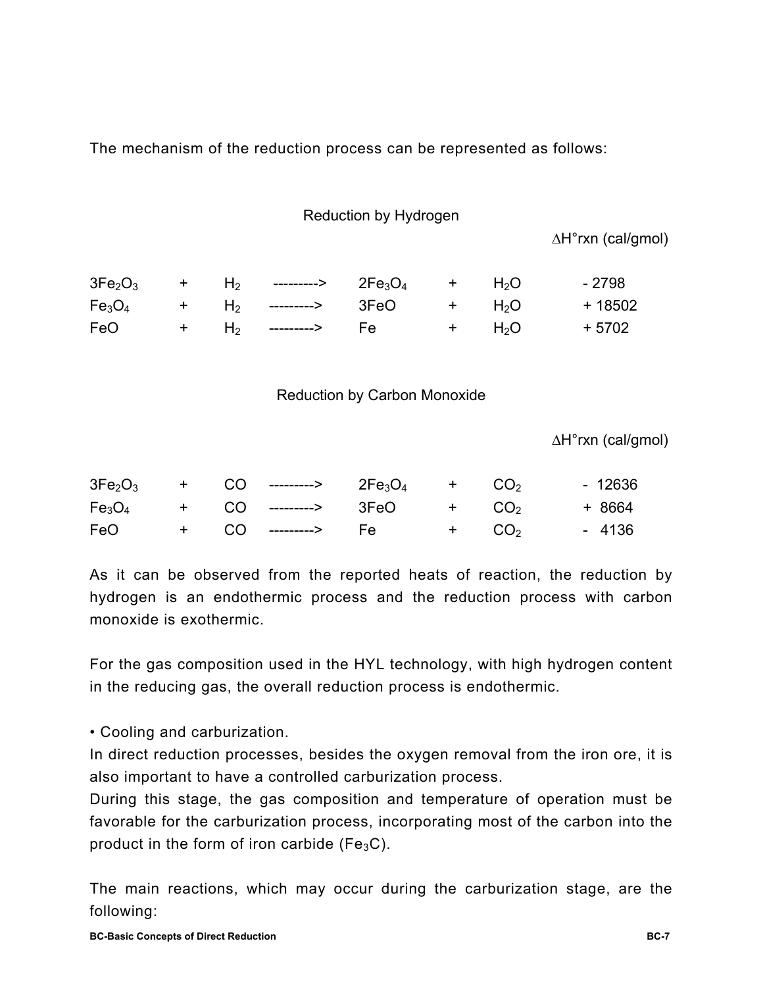The mechanism of the reduction process can be represented as follows:

#### Reduction by Hydrogen

∆H°rxn (cal/gmol)

|  | $3Fe_2O_3$ + H <sub>2</sub> ---------> $2Fe_3O_4$ + H <sub>2</sub> O |  |            | - 2798  |
|--|----------------------------------------------------------------------|--|------------|---------|
|  | $Fe3O4$ + H <sub>2</sub> ---------> 3FeO + H <sub>2</sub> O          |  |            | + 18502 |
|  | FeO + $H_2$ --------> Fe                                             |  | $+$ $H_2O$ | + 5702  |

## Reduction by Carbon Monoxide

∆H°rxn (cal/gmol)

|                     |  | $3Fe_2O_3$ + CO ---------> $2Fe_3O_4$ + CO <sub>2</sub> |         | - 12636 |
|---------------------|--|---------------------------------------------------------|---------|---------|
|                     |  | $Fe3O4$ + CO ---------> 3FeO + CO <sub>2</sub>          |         | + 8664  |
| FeO <b>Security</b> |  | + CO --------> Fe                                       | $+ CO2$ | - 4136  |

As it can be observed from the reported heats of reaction, the reduction by hydrogen is an endothermic process and the reduction process with carbon monoxide is exothermic.

For the gas composition used in the HYL technology, with high hydrogen content in the reducing gas, the overall reduction process is endothermic.

• Cooling and carburization.

In direct reduction processes, besides the oxygen removal from the iron ore, it is also important to have a controlled carburization process.

During this stage, the gas composition and temperature of operation must be favorable for the carburization process, incorporating most of the carbon into the product in the form of iron carbide ( $Fe<sub>3</sub>C$ ).

The main reactions, which may occur during the carburization stage, are the following: